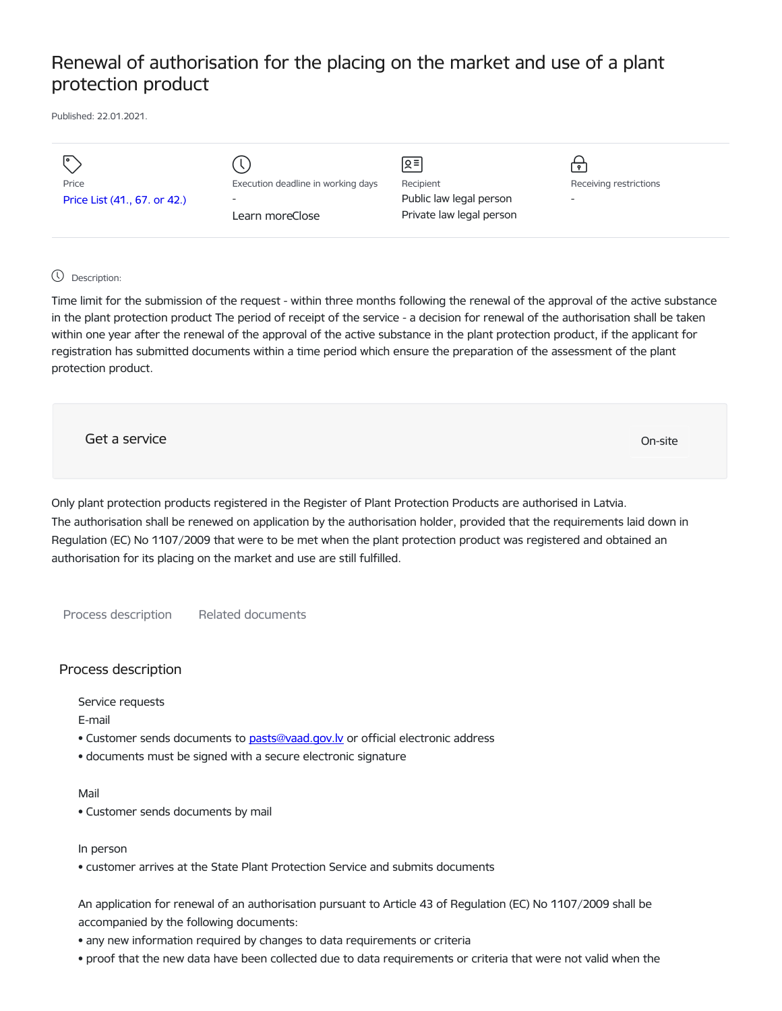# Renewal of authorisation for the placing on the market and use of a plant protection product

Published: 22.01.2021.

| $\overline{\phantom{a}}$     |                                    | Զ≡                       |                        |
|------------------------------|------------------------------------|--------------------------|------------------------|
| Price                        | Execution deadline in working days | Recipient                | Receiving restrictions |
| Price List (41., 67. or 42.) | $\overline{\phantom{a}}$           | Public law legal person  | -                      |
|                              | Learn moreClose                    | Private law legal person |                        |
|                              |                                    |                          |                        |

## Description:

Time limit for the submission of the request - within three months following the renewal of the approval of the active substance in the plant protection product The period of receipt of the service - a decision for renewal of the authorisation shall be taken within one year after the renewal of the approval of the active substance in the plant protection product, if the applicant for registration has submitted documents within a time period which ensure the preparation of the assessment of the plant protection product.

Get a service On-site

Only plant protection products registered in the Register of Plant Protection Products are authorised in Latvia. The authorisation shall be renewed on application by the authorisation holder, provided that the requirements laid down in Regulation (EC) No 1107/2009 that were to be met when the plant protection product was registered and obtained an authorisation for its placing on the market and use are still fulfilled.

Process description Related documents

# Process description

Service requests

E-mail

- Customer sends documents to [pasts@vaad.gov.lv](mailto:pasts@vaad.gov.lv) or official electronic address
- documents must be signed with a secure electronic signature

Mail

• Customer sends documents by mail

#### In person

• customer arrives at the State Plant Protection Service and submits documents

An application for renewal of an authorisation pursuant to Article 43 of Regulation (EC) No 1107/2009 shall be accompanied by the following documents:

- any new information required by changes to data requirements or criteria
- proof that the new data have been collected due to data requirements or criteria that were not valid when the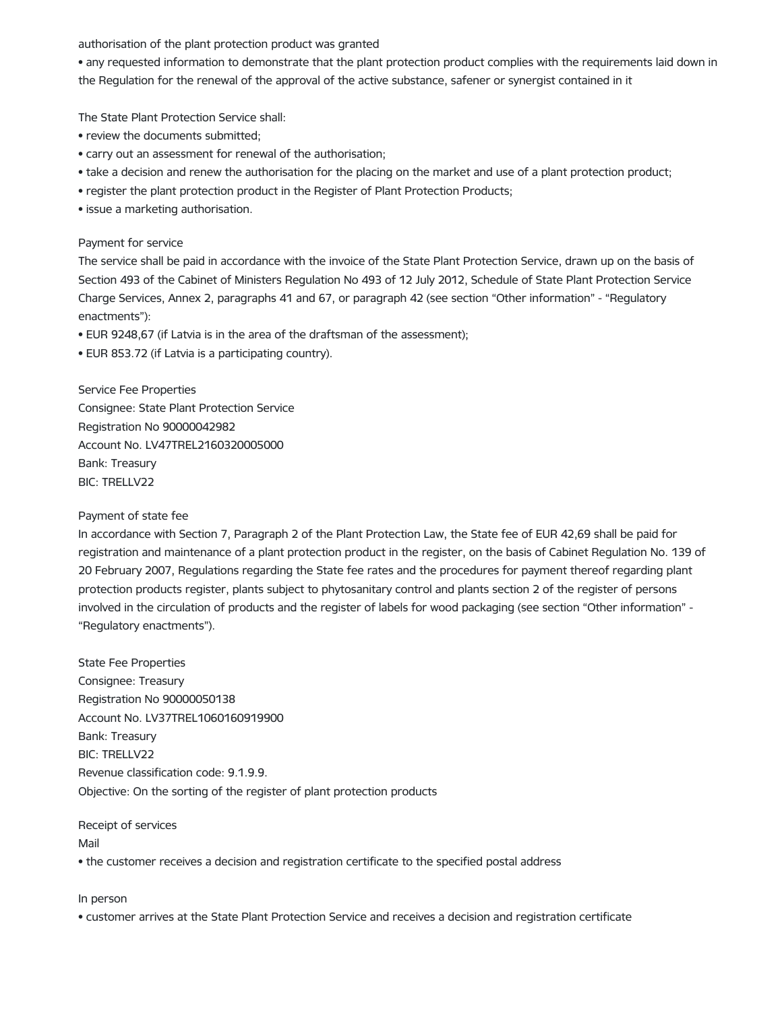authorisation of the plant protection product was granted

• any requested information to demonstrate that the plant protection product complies with the requirements laid down in the Regulation for the renewal of the approval of the active substance, safener or synergist contained in it

The State Plant Protection Service shall:

- review the documents submitted;
- carry out an assessment for renewal of the authorisation;
- take a decision and renew the authorisation for the placing on the market and use of a plant protection product;
- register the plant protection product in the Register of Plant Protection Products;
- issue a marketing authorisation.

#### Payment for service

The service shall be paid in accordance with the invoice of the State Plant Protection Service, drawn up on the basis of Section 493 of the Cabinet of Ministers Regulation No 493 of 12 July 2012, Schedule of State Plant Protection Service Charge Services, Annex 2, paragraphs 41 and 67, or paragraph 42 (see section "Other information" - "Regulatory enactments"):

- EUR 9248,67 (if Latvia is in the area of the draftsman of the assessment);
- EUR 853.72 (if Latvia is a participating country).

Service Fee Properties Consignee: State Plant Protection Service Registration No 90000042982 Account No. LV47TREL2160320005000 Bank: Treasury BIC: TRELLV22

## Payment of state fee

In accordance with Section 7, Paragraph 2 of the Plant Protection Law, the State fee of EUR 42,69 shall be paid for registration and maintenance of a plant protection product in the register, on the basis of Cabinet Regulation No. 139 of 20 February 2007, Regulations regarding the State fee rates and the procedures for payment thereof regarding plant protection products register, plants subject to phytosanitary control and plants section 2 of the register of persons involved in the circulation of products and the register of labels for wood packaging (see section "Other information" - "Regulatory enactments").

State Fee Properties Consignee: Treasury Registration No 90000050138 Account No. LV37TREL1060160919900 Bank: Treasury BIC: TRELLV22 Revenue classification code: 9.1.9.9. Objective: On the sorting of the register of plant protection products

Receipt of services Mail • the customer receives a decision and registration certificate to the specified postal address

#### In person

• customer arrives at the State Plant Protection Service and receives a decision and registration certificate